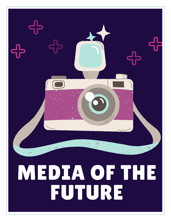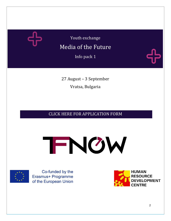

Youth exchange

## Media of the Future

Info pack 1

27 August – 3 September Vratsa, Bulgaria

### [CLICK HERE FOR APPLICATION FORM](https://forms.gle/cBvsaFFwK1LtT34m6)





Co-funded by the Erasmus+ Programme of the European Union

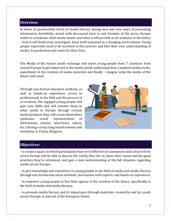#### **Overview:**

In times of questionable levels of media literacy among new and new ways of presenting information deceitfully, mixed with decreased trust in and freedom of the press, Europe needs to reevaluate what media means and what it will provide to its audience in the future – how it will build trust, investigate, keep itself sustained in a changing environment. Young people especially need to be involved in this process and find their own understanding of media, its production and value for their lives.

The Media of the Future youth exchange will invite young people from 7 countries from around Europe to get immersed in the media world, understand how a modern media works, experiment in the creation of media materials and finally – imagine what the media of the future will entail.

Through non-formal education methods, as well as hands-on experience, access to professionals in the field and the process of co-creation, the engaged young people will gain new skills and will transfer them to other youth in Europe through various media products they will create themselves (podcasts, visual representation of information, articles, interviews, videos, etc.) during a 6-day long mixed seminar and workshop in Vratsa, Bulgaria.



#### **Objectives:**

-to create a space, in which participants from very different circumstances and cultures from across Europe will be able to discuss the reality they live in, share their issues and the good practices they've witnessed, and gain a new understanding of the full situation regarding media across Europe;

- to give knowledge and experience to young people in the field of media and media literacy through non-formal education methods, discussions with experts, and hands-on experience;

- to empower young people to feel their agency in the creation of the future, specifically in the field of media and media literacy;

- to promote media literacy and its importance through materials, created by and for youth across Europe, in and out of the European Union.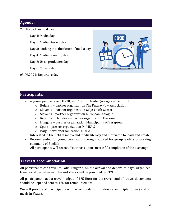#### **Agenda:**

27.08.2021: Arrival day

Day 1: Media day

Day 2: Media literacy day

Day 3: Looking into the future of media day

Day 4: Media in reality day

Day 5: Us as producers day

Day 6: Closing day

03.09.2021: Departure day



#### **Participants:**

- 4 young people (aged 18-30) and 1 group leader (no age restriction) from:
	- o Bulgaria partner organization The Future Now Association
	- o Slovenia partner organization Celje Youth Center
	- o Slovakia partner organization European Dialogue
	- o Republic of Moldova partner organization Diaconia
	- o Hungary partner organization Municipality of Veszprem
	- o Spain partner organization MUNDUS
	- o Italy partner organization TDM 2000
- Interested in the field of media and media literacy and motivated to learn and create;
- Recommended for young people and strongly advised for group leaders: a working command of English
- All participants will receive Youthpass upon successful completion of the exchange

#### **Travel & accommodation:**

All participants can travel to Sofia, Bulgaria, on the arrival and departure days. Organized transportation between Sofia and Vratsa will be provided by TFN.

All participants have a travel budget of 275 Euro for the travel, and all travel documents should be kept and sent to TFN for reimbursement.

We will provide all participants with accommodation (in double and triple rooms) and all meals in Vratsa.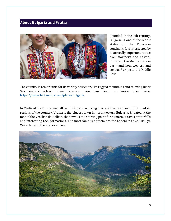#### **About Bulgaria and Vratsa**



Founded in the 7th century, Bulgaria is one of the oldest states on the European continent. It is intersected by historically important routes from northern and eastern Europe to the Mediterranean basin and from western and central Europe to the Middle East.

The country is remarkable for its variety of scenery; its rugged mountains and relaxing Black Sea resorts attract many visitors. You can read up more over here: <https://www.britannica.com/place/Bulgaria>

In Media of the Future, we will be visiting and working in one of the most beautiful mountain regions of the country. Vratsa is the biggest town in northwestern Bulgaria. Situated at the foot of the Vrachanski Balkan, the town is the starting point for numerous caves, waterfalls and interesting rock formations. The most famous of them are the Ledenika Cave, Skaklya Waterfall and the Vratsata Pass.